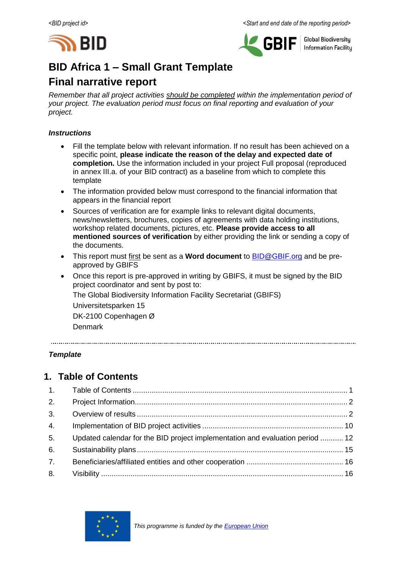



**Global Biodiversity Information Facilitu** 

# **BID Africa 1 – Small Grant Template**

# **Final narrative report**

*Remember that all project activities should be completed within the implementation period of your project. The evaluation period must focus on final reporting and evaluation of your project.*

#### *Instructions*

- Fill the template below with relevant information. If no result has been achieved on a specific point, **please indicate the reason of the delay and expected date of completion.** Use the information included in your project Full proposal (reproduced in annex III.a. of your BID contract) as a baseline from which to complete this template
- The information provided below must correspond to the financial information that appears in the financial report
- Sources of verification are for example links to relevant digital documents, news/newsletters, brochures, copies of agreements with data holding institutions, workshop related documents, pictures, etc. **Please provide access to all mentioned sources of verification** by either providing the link or sending a copy of the documents.
- This report must first be sent as a **Word document** to [BID@GBIF.org](mailto:BID@GBIF.org) and be preapproved by GBIFS
- Once this report is pre-approved in writing by GBIFS, it must be signed by the BID project coordinator and sent by post to: The Global Biodiversity Information Facility Secretariat (GBIFS) Universitetsparken 15 DK-2100 Copenhagen Ø Denmark

*Template*

### <span id="page-0-0"></span>**1. Table of Contents**

| 2. |                                                                               |  |
|----|-------------------------------------------------------------------------------|--|
| 3. |                                                                               |  |
| 4. |                                                                               |  |
| 5. | Updated calendar for the BID project implementation and evaluation period  12 |  |
| 6. |                                                                               |  |
| 7. |                                                                               |  |
| 8. |                                                                               |  |

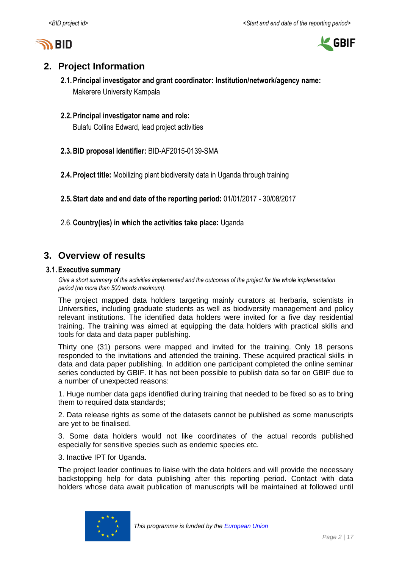



## <span id="page-1-0"></span>**2. Project Information**

- **2.1.Principal investigator and grant coordinator: Institution/network/agency name:** Makerere University Kampala
- **2.2.Principal investigator name and role:** Bulafu Collins Edward, lead project activities
- **2.3.BID proposal identifier:** BID-AF2015-0139-SMA
- **2.4.Project title:** Mobilizing plant biodiversity data in Uganda through training
- **2.5.Start date and end date of the reporting period:** 01/01/2017 30/08/2017
- 2.6.**Country(ies) in which the activities take place:** Uganda

### <span id="page-1-1"></span>**3. Overview of results**

#### **3.1.Executive summary**

*Give a short summary of the activities implemented and the outcomes of the project for the whole implementation period (no more than 500 words maximum).*

The project mapped data holders targeting mainly curators at herbaria, scientists in Universities, including graduate students as well as biodiversity management and policy relevant institutions. The identified data holders were invited for a five day residential training. The training was aimed at equipping the data holders with practical skills and tools for data and data paper publishing.

Thirty one (31) persons were mapped and invited for the training. Only 18 persons responded to the invitations and attended the training. These acquired practical skills in data and data paper publishing. In addition one participant completed the online seminar series conducted by GBIF. It has not been possible to publish data so far on GBIF due to a number of unexpected reasons:

1. Huge number data gaps identified during training that needed to be fixed so as to bring them to required data standards;

2. Data release rights as some of the datasets cannot be published as some manuscripts are yet to be finalised.

3. Some data holders would not like coordinates of the actual records published especially for sensitive species such as endemic species etc.

3. Inactive IPT for Uganda.

The project leader continues to liaise with the data holders and will provide the necessary backstopping help for data publishing after this reporting period. Contact with data holders whose data await publication of manuscripts will be maintained at followed until

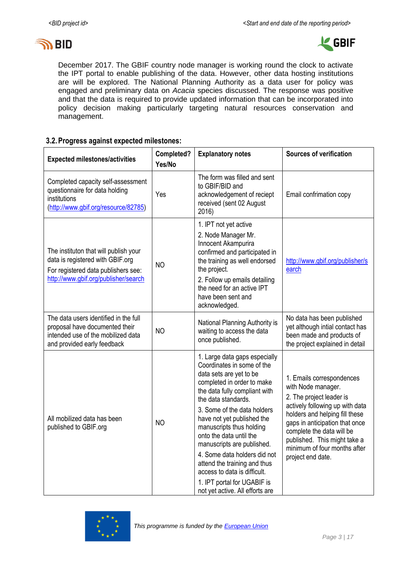



December 2017. The GBIF country node manager is working round the clock to activate the IPT portal to enable publishing of the data. However, other data hosting institutions are will be explored. The National Planning Authority as a data user for policy was engaged and preliminary data on *Acacia* species discussed. The response was positive and that the data is required to provide updated information that can be incorporated into policy decision making particularly targeting natural resources conservation and management.

#### **3.2.Progress against expected milestones:**

| <b>Expected milestones/activities</b>                                                                                                                    | Completed?<br>Yes/No | <b>Explanatory notes</b>                                                                                                                                                                                                                                                                                                                                                                                                                                                                         | <b>Sources of verification</b>                                                                                                                                                                                                                                                                       |
|----------------------------------------------------------------------------------------------------------------------------------------------------------|----------------------|--------------------------------------------------------------------------------------------------------------------------------------------------------------------------------------------------------------------------------------------------------------------------------------------------------------------------------------------------------------------------------------------------------------------------------------------------------------------------------------------------|------------------------------------------------------------------------------------------------------------------------------------------------------------------------------------------------------------------------------------------------------------------------------------------------------|
| Completed capacity self-assessment<br>questionnaire for data holding<br>institutions<br>(http://www.gbif.org/resource/82785)                             | Yes                  | The form was filled and sent<br>to GBIF/BID and<br>acknowledgement of reciept<br>received (sent 02 August<br>2016)                                                                                                                                                                                                                                                                                                                                                                               | Email confrimation copy                                                                                                                                                                                                                                                                              |
| The instituton that will publish your<br>data is registered with GBIF.org<br>For registered data publishers see:<br>http://www.gbif.org/publisher/search | <b>NO</b>            | 1. IPT not yet active<br>2. Node Manager Mr.<br>Innocent Akampurira<br>confirmed and participated in<br>the training as well endorsed<br>the project.<br>2. Follow up emails detailing<br>the need for an active IPT<br>have been sent and<br>acknowledged.                                                                                                                                                                                                                                      | http://www.gbif.org/publisher/s<br>earch                                                                                                                                                                                                                                                             |
| The data users identified in the full<br>proposal have documented their<br>intended use of the mobilized data<br>and provided early feedback             | <b>NO</b>            | National Planning Authority is<br>waiting to access the data<br>once published.                                                                                                                                                                                                                                                                                                                                                                                                                  | No data has been published<br>yet although intial contact has<br>been made and products of<br>the project explained in detail                                                                                                                                                                        |
| All mobilized data has been<br>published to GBIF.org                                                                                                     | N <sub>O</sub>       | 1. Large data gaps especially<br>Coordinates in some of the<br>data sets are yet to be<br>completed in order to make<br>the data fully compliant with<br>the data standards.<br>3. Some of the data holders<br>have not yet published the<br>manuscripts thus holding<br>onto the data until the<br>manuscripts are published.<br>4. Some data holders did not<br>attend the training and thus<br>access to data is difficult.<br>1. IPT portal for UGABIF is<br>not yet active. All efforts are | 1. Emails correspondences<br>with Node manager.<br>2. The project leader is<br>actively following up with data<br>holders and helping fill these<br>gaps in anticipation that once<br>complete the data will be<br>published. This might take a<br>minimum of four months after<br>project end date. |

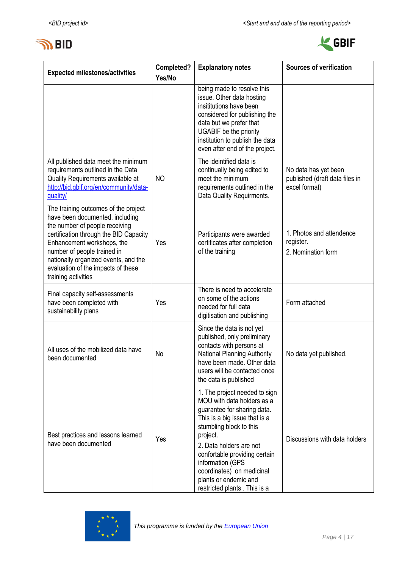



| <b>Expected milestones/activities</b>                                                                                                                                                                                                                                                                                 | Completed?<br>Yes/No | <b>Explanatory notes</b>                                                                                                                                                                                                                                                                                                                  | <b>Sources of verification</b>                                          |
|-----------------------------------------------------------------------------------------------------------------------------------------------------------------------------------------------------------------------------------------------------------------------------------------------------------------------|----------------------|-------------------------------------------------------------------------------------------------------------------------------------------------------------------------------------------------------------------------------------------------------------------------------------------------------------------------------------------|-------------------------------------------------------------------------|
|                                                                                                                                                                                                                                                                                                                       |                      | being made to resolve this<br>issue. Other data hosting<br>insititutions have been<br>considered for publishing the<br>data but we prefer that<br>UGABIF be the priority<br>institution to publish the data<br>even after end of the project.                                                                                             |                                                                         |
| All published data meet the minimum<br>requirements outlined in the Data<br>Quality Requirements available at<br>http://bid.gbif.org/en/community/data-<br>quality/                                                                                                                                                   | <b>NO</b>            | The ideintified data is<br>continually being edited to<br>meet the minimum<br>requirements outlined in the<br>Data Quality Requirments.                                                                                                                                                                                                   | No data has yet been<br>published (draft data files in<br>excel format) |
| The training outcomes of the project<br>have been documented, including<br>the number of people receiving<br>certification through the BID Capacity<br>Enhancement workshops, the<br>number of people trained in<br>nationally organized events, and the<br>evaluation of the impacts of these<br>training activities | Yes                  | Participants were awarded<br>certificates after completion<br>of the training                                                                                                                                                                                                                                                             | 1. Photos and attendence<br>register.<br>2. Nomination form             |
| Final capacity self-assessments<br>have been completed with<br>sustainability plans                                                                                                                                                                                                                                   | Yes                  | There is need to accelerate<br>on some of the actions<br>needed for full data<br>digitisation and publishing                                                                                                                                                                                                                              | Form attached                                                           |
| All uses of the mobilized data have<br>been documented                                                                                                                                                                                                                                                                | No                   | Since the data is not yet<br>published, only preliminary<br>contacts with persons at<br>National Planning Authority<br>have been made. Other data<br>users will be contacted once<br>the data is published                                                                                                                                | No data yet published.                                                  |
| Best practices and lessons learned<br>have been documented                                                                                                                                                                                                                                                            | Yes                  | 1. The project needed to sign<br>MOU with data holders as a<br>guarantee for sharing data.<br>This is a big issue that is a<br>stumbling block to this<br>project.<br>2. Data holders are not<br>confortable providing certain<br>information (GPS<br>coordinates) on medicinal<br>plants or endemic and<br>restricted plants . This is a | Discussions with data holders                                           |

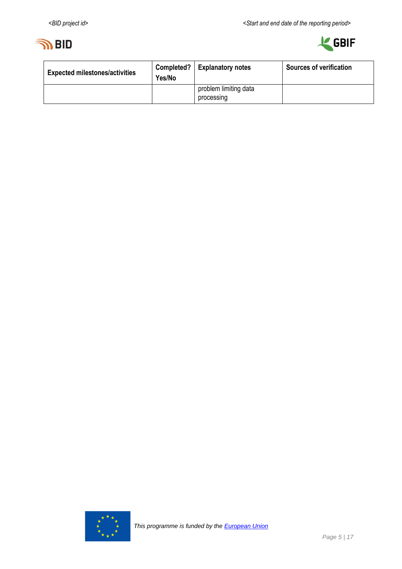



| <b>Expected milestones/activities</b> | Completed?<br>Yes/No | <b>Explanatory notes</b>            | <b>Sources of verification</b> |
|---------------------------------------|----------------------|-------------------------------------|--------------------------------|
|                                       |                      | problem limiting data<br>processing |                                |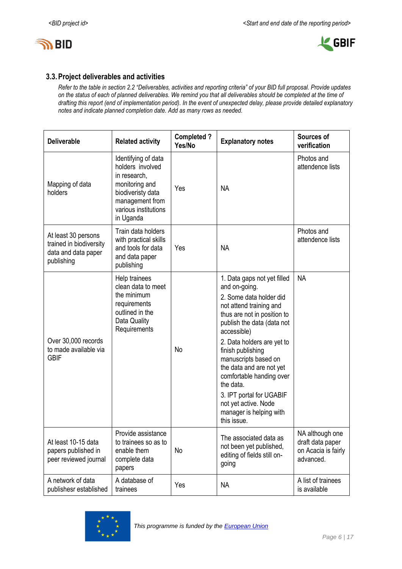



#### **3.3.Project deliverables and activities**

*Refer to the table in section 2.2 "Deliverables, activities and reporting criteria" of your BID full proposal. Provide updates on the status of each of planned deliverables. We remind you that all deliverables should be completed at the time of drafting this report (end of implementation period). In the event of unexpected delay, please provide detailed explanatory notes and indicate planned completion date. Add as many rows as needed.*

| <b>Deliverable</b>                                                                  | <b>Related activity</b>                                                                                                                                | <b>Completed?</b><br>Yes/No | <b>Explanatory notes</b>                                                                                                                                                                                                                                                                                                                                                                                                     | Sources of<br>verification                                              |
|-------------------------------------------------------------------------------------|--------------------------------------------------------------------------------------------------------------------------------------------------------|-----------------------------|------------------------------------------------------------------------------------------------------------------------------------------------------------------------------------------------------------------------------------------------------------------------------------------------------------------------------------------------------------------------------------------------------------------------------|-------------------------------------------------------------------------|
| Mapping of data<br>holders                                                          | Identifying of data<br>holders involved<br>in research,<br>monitoring and<br>biodiveristy data<br>management from<br>various institutions<br>in Uganda | Yes                         | <b>NA</b>                                                                                                                                                                                                                                                                                                                                                                                                                    | Photos and<br>attendence lists                                          |
| At least 30 persons<br>trained in biodiversity<br>data and data paper<br>publishing | Train data holders<br>with practical skills<br>and tools for data<br>and data paper<br>publishing                                                      | Yes                         | <b>NA</b>                                                                                                                                                                                                                                                                                                                                                                                                                    | Photos and<br>attendence lists                                          |
| Over 30,000 records<br>to made available via<br><b>GBIF</b>                         | Help trainees<br>clean data to meet<br>the minimum<br>requirements<br>outlined in the<br>Data Quality<br>Requirements                                  | <b>No</b>                   | 1. Data gaps not yet filled<br>and on-going.<br>2. Some data holder did<br>not attend training and<br>thus are not in position to<br>publish the data (data not<br>accessible)<br>2. Data holders are yet to<br>finish publishing<br>manuscripts based on<br>the data and are not yet<br>comfortable handing over<br>the data.<br>3. IPT portal for UGABIF<br>not yet active. Node<br>manager is helping with<br>this issue. | <b>NA</b>                                                               |
| At least 10-15 data<br>papers published in<br>peer reviewed journal                 | Provide assistance<br>to trainees so as to<br>enable them<br>complete data<br>papers                                                                   | No                          | The associated data as<br>not been yet published,<br>editing of fields still on-<br>going                                                                                                                                                                                                                                                                                                                                    | NA although one<br>draft data paper<br>on Acacia is fairly<br>advanced. |
| A network of data<br>publishesr established                                         | A database of<br>trainees                                                                                                                              | Yes                         | <b>NA</b>                                                                                                                                                                                                                                                                                                                                                                                                                    | A list of trainees<br>is available                                      |

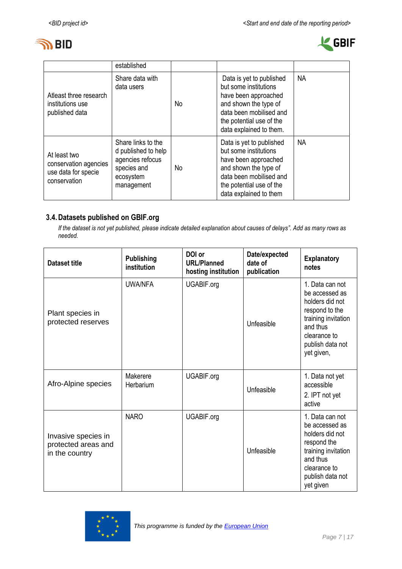



|                                                                              | established                                                                                             |     |                                                                                                                                                                                      |           |
|------------------------------------------------------------------------------|---------------------------------------------------------------------------------------------------------|-----|--------------------------------------------------------------------------------------------------------------------------------------------------------------------------------------|-----------|
| Atleast three research<br>institutions use<br>published data                 | Share data with<br>data users                                                                           | No  | Data is yet to published<br>but some institutions<br>have been approached<br>and shown the type of<br>data been mobilised and<br>the potential use of the<br>data explained to them. | <b>NA</b> |
| At least two<br>conservation agencies<br>use data for specie<br>conservation | Share links to the<br>d published to help<br>agencies refocus<br>species and<br>ecosystem<br>management | No. | Data is yet to published<br>but some institutions<br>have been approached<br>and shown the type of<br>data been mobilised and<br>the potential use of the<br>data explained to them  | <b>NA</b> |

### **3.4.Datasets published on GBIF.org**

*If the dataset is not yet published, please indicate detailed explanation about causes of delays". Add as many rows as needed.*

| <b>Dataset title</b>                                         | <b>Publishing</b><br>institution | DOI or<br><b>URL/Planned</b><br>hosting institution | Date/expected<br>date of<br>publication | <b>Explanatory</b><br>notes                                                                                                                                 |
|--------------------------------------------------------------|----------------------------------|-----------------------------------------------------|-----------------------------------------|-------------------------------------------------------------------------------------------------------------------------------------------------------------|
| Plant species in<br>protected reserves                       | <b>UWA/NFA</b>                   | UGABIF.org                                          | Unfeasible                              | 1. Data can not<br>be accessed as<br>holders did not<br>respond to the<br>training invitation<br>and thus<br>clearance to<br>publish data not<br>yet given, |
| Afro-Alpine species                                          | Makerere<br>Herbarium            | UGABIF.org                                          | Unfeasible                              | 1. Data not yet<br>accessible<br>2. IPT not yet<br>active                                                                                                   |
| Invasive species in<br>protected areas and<br>in the country | <b>NARO</b>                      | UGABIF.org                                          | Unfeasible                              | 1. Data can not<br>be accessed as<br>holders did not<br>respond the<br>training invitation<br>and thus<br>clearance to<br>publish data not<br>yet given     |

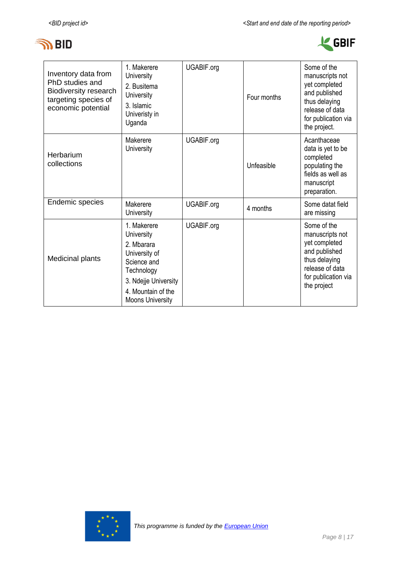



| Inventory data from<br>PhD studies and<br><b>Biodiversity research</b><br>targeting species of<br>economic potential | 1. Makerere<br>University<br>2. Busitema<br>University<br>3. Islamic<br>Univeristy in<br>Uganda                                                                | UGABIF.org | Four months | Some of the<br>manuscripts not<br>yet completed<br>and published<br>thus delaying<br>release of data<br>for publication via<br>the project. |
|----------------------------------------------------------------------------------------------------------------------|----------------------------------------------------------------------------------------------------------------------------------------------------------------|------------|-------------|---------------------------------------------------------------------------------------------------------------------------------------------|
| Herbarium<br>collections                                                                                             | Makerere<br>University                                                                                                                                         | UGABIF.org | Unfeasible  | Acanthaceae<br>data is yet to be<br>completed<br>populating the<br>fields as well as<br>manuscript<br>preparation.                          |
| Endemic species                                                                                                      | Makerere<br>University                                                                                                                                         | UGABIF.org | 4 months    | Some datat field<br>are missing                                                                                                             |
| <b>Medicinal plants</b>                                                                                              | 1. Makerere<br>University<br>2. Mbarara<br>University of<br>Science and<br>Technology<br>3. Ndejje University<br>4. Mountain of the<br><b>Moons University</b> | UGABIF.org |             | Some of the<br>manuscripts not<br>yet completed<br>and published<br>thus delaying<br>release of data<br>for publication via<br>the project  |

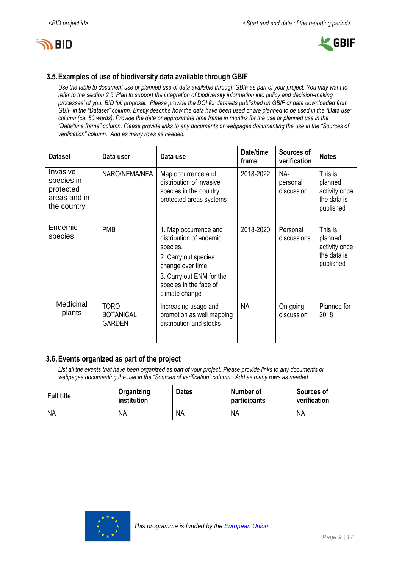



#### **3.5.Examples of use of biodiversity data available through GBIF**

*Use the table to document use or planned use of data available through GBIF as part of your project. You may want to refer to the section 2.5 'Plan to support the integration of biodiversity information into policy and decision-making processes' of your BID full proposal. Please provide the DOI for datasets published on GBIF or data downloaded from GBIF in the "Dataset" column. Briefly describe how the data have been used or are planned to be used in the "Data use" column (ca. 50 words). Provide the date or approximate time frame in months for the use or planned use in the "Date/time frame" column. Please provide links to any documents or webpages documenting the use in the "Sources of verification" column. Add as many rows as needed.*

| <b>Dataset</b>                                                     | Data user                                        | Data use                                                                                                                                                                         | Date/time<br>frame | Sources of<br>verification    | <b>Notes</b>                                                    |
|--------------------------------------------------------------------|--------------------------------------------------|----------------------------------------------------------------------------------------------------------------------------------------------------------------------------------|--------------------|-------------------------------|-----------------------------------------------------------------|
| Invasive<br>species in<br>protected<br>areas and in<br>the country | NARO/NEMA/NFA                                    | Map occurrence and<br>distribution of invasive<br>species in the country<br>protected areas systems                                                                              | 2018-2022          | NA-<br>personal<br>discussion | This is<br>planned<br>activity once<br>the data is<br>published |
| Endemic<br>species                                                 | <b>PMB</b>                                       | 1. Map occurrence and<br>distribution of endemic<br>species.<br>2. Carry out species<br>change over time<br>3. Carry out ENM for the<br>species in the face of<br>climate change | 2018-2020          | Personal<br>discussions       | This is<br>planned<br>activity once<br>the data is<br>published |
| Medicinal<br>plants                                                | <b>TORO</b><br><b>BOTANICAL</b><br><b>GARDEN</b> | Increasing usage and<br>promotion as well mapping<br>distribution and stocks                                                                                                     | <b>NA</b>          | On-going<br>discussion        | Planned for<br>2018                                             |
|                                                                    |                                                  |                                                                                                                                                                                  |                    |                               |                                                                 |

#### **3.6.Events organized as part of the project**

*List all the events that have been organized as part of your project. Please provide links to any documents or webpages documenting the use in the "Sources of verification" column. Add as many rows as needed.*

| <b>Full title</b> | Organizing<br>institution | <b>Dates</b> | Number of<br>participants | <b>Sources of</b><br>verification |
|-------------------|---------------------------|--------------|---------------------------|-----------------------------------|
| <b>NA</b>         | <b>NA</b>                 | <b>NA</b>    | <b>NA</b>                 | <b>NA</b>                         |

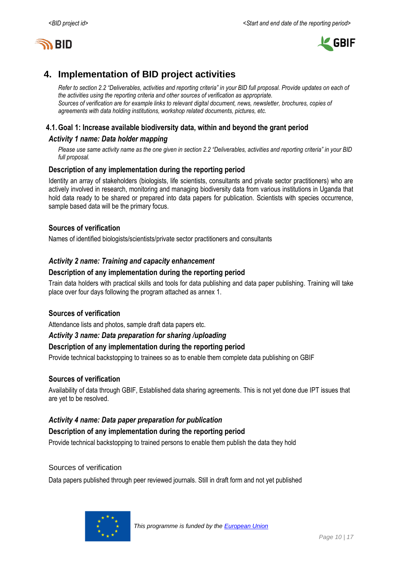



# <span id="page-9-0"></span>**4. Implementation of BID project activities**

*Refer to section 2.2 "Deliverables, activities and reporting criteria" in your BID full proposal. Provide updates on each of the activities using the reporting criteria and other sources of verification as appropriate. Sources of verification are for example links to relevant digital document, news, newsletter, brochures, copies of agreements with data holding institutions, workshop related documents, pictures, etc.*

#### **4.1.Goal 1: Increase available biodiversity data, within and beyond the grant period**

#### *Activity 1 name: Data holder mapping*

*Please use same activity name as the one given in section 2.2 "Deliverables, activities and reporting criteria" in your BID full proposal.*

#### **Description of any implementation during the reporting period**

Identity an array of stakeholders (biologists, life scientists, consultants and private sector practitioners) who are actively involved in research, monitoring and managing biodiversity data from various institutions in Uganda that hold data ready to be shared or prepared into data papers for publication. Scientists with species occurrence, sample based data will be the primary focus.

#### **Sources of verification**

Names of identified biologists/scientists/private sector practitioners and consultants

#### *Activity 2 name: Training and capacity enhancement*

#### **Description of any implementation during the reporting period**

Train data holders with practical skills and tools for data publishing and data paper publishing. Training will take place over four days following the program attached as annex 1.

#### **Sources of verification**

Attendance lists and photos, sample draft data papers etc.

#### *Activity 3 name: Data preparation for sharing /uploading*

#### **Description of any implementation during the reporting period**

Provide technical backstopping to trainees so as to enable them complete data publishing on GBIF

#### **Sources of verification**

Availability of data through GBIF, Established data sharing agreements. This is not yet done due IPT issues that are yet to be resolved.

#### *Activity 4 name: Data paper preparation for publication*

#### **Description of any implementation during the reporting period**

Provide technical backstopping to trained persons to enable them publish the data they hold

#### Sources of verification

Data papers published through peer reviewed journals. Still in draft form and not yet published

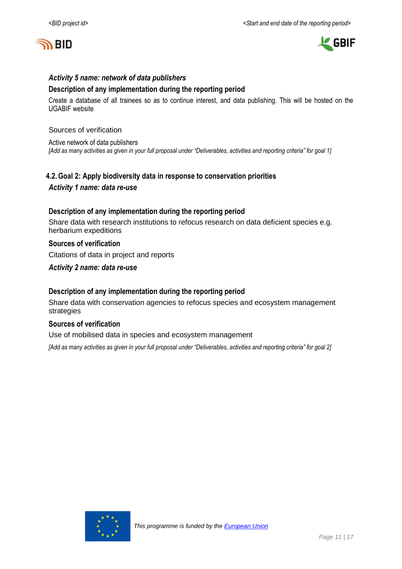



#### *Activity 5 name: network of data publishers*

#### **Description of any implementation during the reporting period**

Create a database of all trainees so as to continue interest, and data publishing. This will be hosted on the UGABIF website

#### Sources of verification

Active network of data publishers *[Add as many activities as given in your full proposal under "Deliverables, activities and reporting criteria" for goal 1]*

#### **4.2.Goal 2: Apply biodiversity data in response to conservation priorities** *Activity 1 name: data re-use*

#### **Description of any implementation during the reporting period**

Share data with research institutions to refocus research on data deficient species e.g. herbarium expeditions

# **Sources of verification**

Citations of data in project and reports

*Activity 2 name: data re-use*

#### **Description of any implementation during the reporting period**

Share data with conservation agencies to refocus species and ecosystem management strategies

#### **Sources of verification**

Use of mobilised data in species and ecosystem management

*[Add as many activities as given in your full proposal under "Deliverables, activities and reporting criteria" for goal 2]*

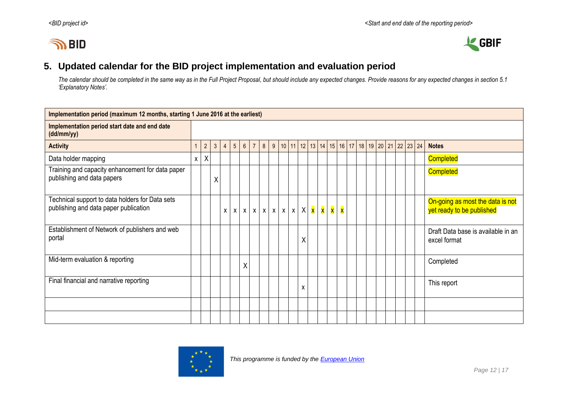# **IN BID**



## **5. Updated calendar for the BID project implementation and evaluation period**

*The calendar should be completed in the same way as in the Full Project Proposal, but should include any expected changes. Provide reasons for any expected changes in section 5.1 'Explanatory Notes'.*

<span id="page-11-0"></span>

| Implementation period (maximum 12 months, starting 1 June 2016 at the earliest)          |              |                |                |                |                 |                |                |   |   |                   |  |                               |   |  |              |   |  |  |                                              |  |                                                               |
|------------------------------------------------------------------------------------------|--------------|----------------|----------------|----------------|-----------------|----------------|----------------|---|---|-------------------|--|-------------------------------|---|--|--------------|---|--|--|----------------------------------------------|--|---------------------------------------------------------------|
| Implementation period start date and end date<br>(dd/mm/yy)                              |              |                |                |                |                 |                |                |   |   |                   |  |                               |   |  |              |   |  |  |                                              |  |                                                               |
| <b>Activity</b>                                                                          |              | $\overline{2}$ | $\mathfrak{Z}$ | $\overline{4}$ | $5\overline{)}$ | $6\phantom{1}$ | $\overline{7}$ | 8 | 9 |                   |  |                               |   |  |              |   |  |  | 10 11 12 13 14 15 16 17 18 19 20 21 22 23 24 |  | <b>Notes</b>                                                  |
| Data holder mapping                                                                      | $\mathsf{x}$ | X              |                |                |                 |                |                |   |   |                   |  |                               |   |  |              |   |  |  |                                              |  | <b>Completed</b>                                              |
| Training and capacity enhancement for data paper<br>publishing and data papers           |              |                | X              |                |                 |                |                |   |   |                   |  |                               |   |  |              |   |  |  |                                              |  | <b>Completed</b>                                              |
| Technical support to data holders for Data sets<br>publishing and data paper publication |              |                |                | X              | $\mathsf{X}$    |                |                |   |   | x   x   x   x   x |  | $x \mid x \mid \frac{x}{ x }$ |   |  | $\mathbf{x}$ | X |  |  |                                              |  | On-going as most the data is not<br>yet ready to be published |
| Establishment of Network of publishers and web<br>portal                                 |              |                |                |                |                 |                |                |   |   |                   |  |                               | Χ |  |              |   |  |  |                                              |  | Draft Data base is available in an<br>excel format            |
| Mid-term evaluation & reporting                                                          |              |                |                |                |                 | X              |                |   |   |                   |  |                               |   |  |              |   |  |  |                                              |  | Completed                                                     |
| Final financial and narrative reporting                                                  |              |                |                |                |                 |                |                |   |   |                   |  |                               | X |  |              |   |  |  |                                              |  | This report                                                   |
|                                                                                          |              |                |                |                |                 |                |                |   |   |                   |  |                               |   |  |              |   |  |  |                                              |  |                                                               |

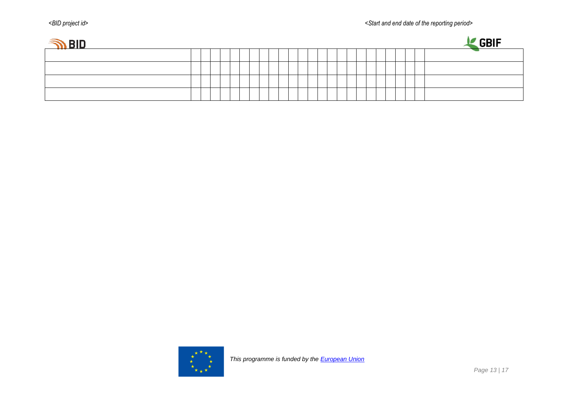| <b>SO BID</b> |  |  |  |  |  |  |  |  |  |  |  |  |  | LE GBIF |  |
|---------------|--|--|--|--|--|--|--|--|--|--|--|--|--|---------|--|
|               |  |  |  |  |  |  |  |  |  |  |  |  |  |         |  |
|               |  |  |  |  |  |  |  |  |  |  |  |  |  |         |  |
|               |  |  |  |  |  |  |  |  |  |  |  |  |  |         |  |
|               |  |  |  |  |  |  |  |  |  |  |  |  |  |         |  |

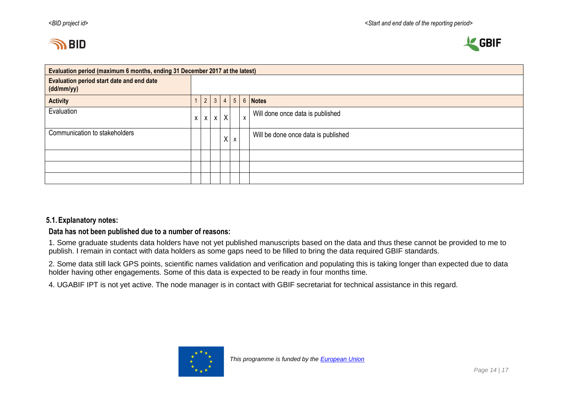



| Evaluation period (maximum 6 months, ending 31 December 2017 at the latest) |  |         |     |   |            |              |                                     |
|-----------------------------------------------------------------------------|--|---------|-----|---|------------|--------------|-------------------------------------|
| Evaluation period start date and end date<br>(dd/mm/yy)                     |  |         |     |   |            |              |                                     |
| <b>Activity</b>                                                             |  |         | 2 3 |   |            |              | $4 \mid 5 \mid 6 \mid$ Notes        |
| Evaluation                                                                  |  | $X$ $X$ | x   | X |            | $\mathsf{x}$ | Will done once data is published    |
| Communication to stakeholders                                               |  |         |     |   | $X \times$ |              | Will be done once data is published |
|                                                                             |  |         |     |   |            |              |                                     |
|                                                                             |  |         |     |   |            |              |                                     |
|                                                                             |  |         |     |   |            |              |                                     |

#### **5.1.Explanatory notes:**

#### **Data has not been published due to a number of reasons:**

1. Some graduate students data holders have not yet published manuscripts based on the data and thus these cannot be provided to me to publish. I remain in contact with data holders as some gaps need to be filled to bring the data required GBIF standards.

2. Some data still lack GPS points, scientific names validation and verification and populating this is taking longer than expected due to data holder having other engagements. Some of this data is expected to be ready in four months time.

4. UGABIF IPT is not yet active. The node manager is in contact with GBIF secretariat for technical assistance in this regard.

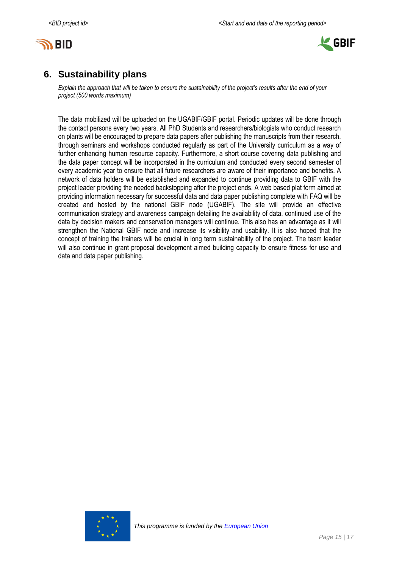



# <span id="page-14-0"></span>**6. Sustainability plans**

*Explain the approach that will be taken to ensure the sustainability of the project's results after the end of your project (500 words maximum)*

The data mobilized will be uploaded on the UGABIF/GBIF portal. Periodic updates will be done through the contact persons every two years. All PhD Students and researchers/biologists who conduct research on plants will be encouraged to prepare data papers after publishing the manuscripts from their research, through seminars and workshops conducted regularly as part of the University curriculum as a way of further enhancing human resource capacity. Furthermore, a short course covering data publishing and the data paper concept will be incorporated in the curriculum and conducted every second semester of every academic year to ensure that all future researchers are aware of their importance and benefits. A network of data holders will be established and expanded to continue providing data to GBIF with the project leader providing the needed backstopping after the project ends. A web based plat form aimed at providing information necessary for successful data and data paper publishing complete with FAQ will be created and hosted by the national GBIF node (UGABIF). The site will provide an effective communication strategy and awareness campaign detailing the availability of data, continued use of the data by decision makers and conservation managers will continue. This also has an advantage as it will strengthen the National GBIF node and increase its visibility and usability. It is also hoped that the concept of training the trainers will be crucial in long term sustainability of the project. The team leader will also continue in grant proposal development aimed building capacity to ensure fitness for use and data and data paper publishing.

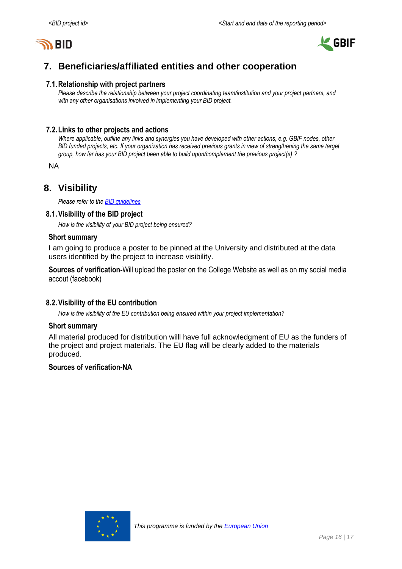



# <span id="page-15-0"></span>**7. Beneficiaries/affiliated entities and other cooperation**

#### **7.1.Relationship with project partners**

*Please describe the relationship between your project coordinating team/institution and your project partners, and with any other organisations involved in implementing your BID project.*

#### **7.2.Links to other projects and actions**

*Where applicable, outline any links and synergies you have developed with other actions, e.g. GBIF nodes, other BID funded projects, etc. If your organization has received previous grants in view of strengthening the same target group, how far has your BID project been able to build upon/complement the previous project(s) ?*

NA

#### <span id="page-15-1"></span>**8. Visibility**

*Please refer to th[e BID guidelines](http://bid.gbif.org/en/community/communication-guidelines/)*

#### **8.1.Visibility of the BID project**

*How is the visibility of your BID project being ensured?*

#### **Short summary**

I am going to produce a poster to be pinned at the University and distributed at the data users identified by the project to increase visibility.

**Sources of verification-**Will upload the poster on the College Website as well as on my social media accout (facebook)

#### **8.2.Visibility of the EU contribution**

*How is the visibility of the EU contribution being ensured within your project implementation?*

#### **Short summary**

All material produced for distribution willl have full acknowledgment of EU as the funders of the project and project materials. The EU flag will be clearly added to the materials produced.

#### **Sources of verification-NA**